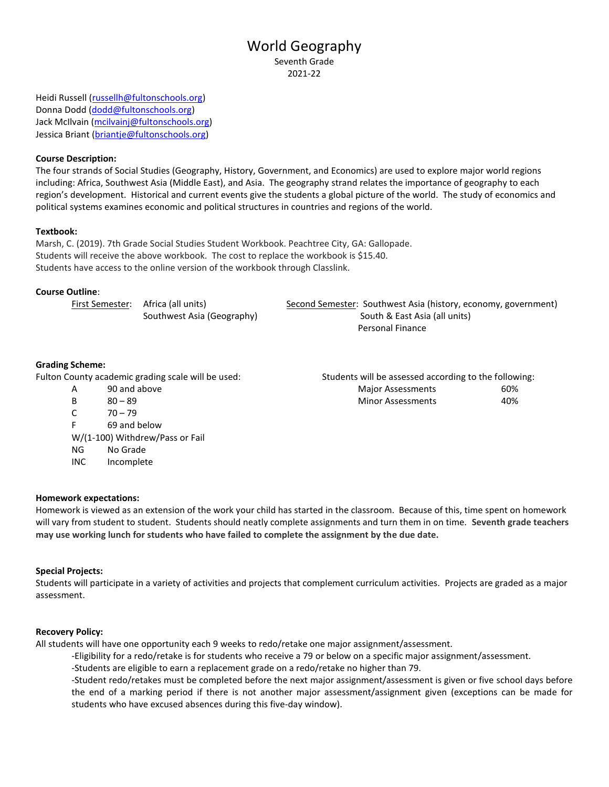# World Geography Seventh Grade

2021-22

Heidi Russell [\(russellh@fultonschools.org\)](mailto:russellh@fultonschools.org) Donna Dodd [\(dodd@fultonschools.org\)](mailto:dodd@fultonschools.org) Jack McIlvain [\(mcilvainj@fultonschools.org\)](mailto:mcilvainj@fultonschools.org) Jessica Briant [\(briantje@fultonschools.org\)](mailto:briantje@fultonschools.org)

## **Course Description:**

The four strands of Social Studies (Geography, History, Government, and Economics) are used to explore major world regions including: Africa, Southwest Asia (Middle East), and Asia. The geography strand relates the importance of geography to each region's development. Historical and current events give the students a global picture of the world. The study of economics and political systems examines economic and political structures in countries and regions of the world.

### **Textbook:**

Marsh, C. (2019). 7th Grade Social Studies Student Workbook. Peachtree City, GA: Gallopade. Students will receive the above workbook. The cost to replace the workbook is \$15.40. Students have access to the online version of the workbook through Classlink.

# **Course Outline**:

| First Semester: Africa (all units) | Second Semester: Southwest Asia (history, economy, government) |
|------------------------------------|----------------------------------------------------------------|
| Southwest Asia (Geography)         | South & East Asia (all units)                                  |

Personal Finance

# **Grading Scheme:**

Fulton County academic grading scale will be used: Students will be assessed according to the following:

- 
- $C = 70 79$
- F 69 and below
- W/(1-100) Withdrew/Pass or Fail NG No Grade
- INC Incomplete

A 90 and above and above a set of the Major Assessments and 50% B 80 – 89 Minor Assessments 40%

### **Homework expectations:**

Homework is viewed as an extension of the work your child has started in the classroom. Because of this, time spent on homework will vary from student to student. Students should neatly complete assignments and turn them in on time. **Seventh grade teachers may use working lunch for students who have failed to complete the assignment by the due date.** 

### **Special Projects:**

Students will participate in a variety of activities and projects that complement curriculum activities. Projects are graded as a major assessment.

### **Recovery Policy:**

All students will have one opportunity each 9 weeks to redo/retake one major assignment/assessment.

-Eligibility for a redo/retake is for students who receive a 79 or below on a specific major assignment/assessment.

-Students are eligible to earn a replacement grade on a redo/retake no higher than 79.

-Student redo/retakes must be completed before the next major assignment/assessment is given or five school days before the end of a marking period if there is not another major assessment/assignment given (exceptions can be made for students who have excused absences during this five-day window).